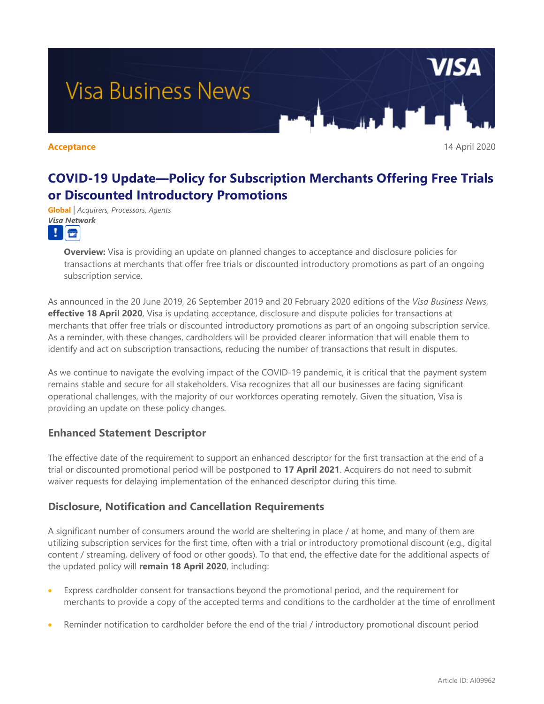

# **COVID-19 Update—Policy for Subscription Merchants Offering Free Trials or Discounted Introductory Promotions**

**Global** *| Acquirers, Processors, Agents Visa Network*



**Overview:** Visa is providing an update on planned changes to acceptance and disclosure policies for transactions at merchants that offer free trials or discounted introductory promotions as part of an ongoing subscription service.

As announced in the 20 June 2019, 26 September 2019 and 20 February 2020 editions of the *Visa Business News*, **effective 18 April 2020**, Visa is updating acceptance, disclosure and dispute policies for transactions at merchants that offer free trials or discounted introductory promotions as part of an ongoing subscription service. As a reminder, with these changes, cardholders will be provided clearer information that will enable them to identify and act on subscription transactions, reducing the number of transactions that result in disputes.

As we continue to navigate the evolving impact of the COVID-19 pandemic, it is critical that the payment system remains stable and secure for all stakeholders. Visa recognizes that all our businesses are facing significant operational challenges, with the majority of our workforces operating remotely. Given the situation, Visa is providing an update on these policy changes.

## **Enhanced Statement Descriptor**

The effective date of the requirement to support an enhanced descriptor for the first transaction at the end of a trial or discounted promotional period will be postponed to **17 April 2021**. Acquirers do not need to submit waiver requests for delaying implementation of the enhanced descriptor during this time.

### **Disclosure, Notification and Cancellation Requirements**

A significant number of consumers around the world are sheltering in place / at home, and many of them are utilizing subscription services for the first time, often with a trial or introductory promotional discount (e.g., digital content / streaming, delivery of food or other goods). To that end, the effective date for the additional aspects of the updated policy will **remain 18 April 2020**, including:

- Express cardholder consent for transactions beyond the promotional period, and the requirement for merchants to provide a copy of the accepted terms and conditions to the cardholder at the time of enrollment
- Reminder notification to cardholder before the end of the trial / introductory promotional discount period